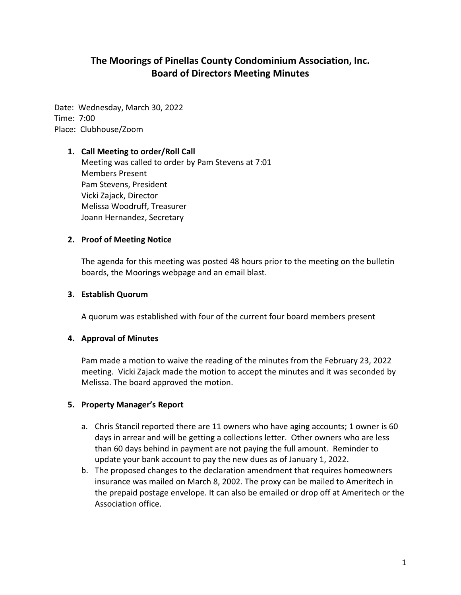# **The Moorings of Pinellas County Condominium Association, Inc. Board of Directors Meeting Minutes**

Date: Wednesday, March 30, 2022 Time: 7:00 Place: Clubhouse/Zoom

#### **1. Call Meeting to order/Roll Call**

Meeting was called to order by Pam Stevens at 7:01 Members Present Pam Stevens, President Vicki Zajack, Director Melissa Woodruff, Treasurer Joann Hernandez, Secretary

#### **2. Proof of Meeting Notice**

The agenda for this meeting was posted 48 hours prior to the meeting on the bulletin boards, the Moorings webpage and an email blast.

#### **3. Establish Quorum**

A quorum was established with four of the current four board members present

#### **4. Approval of Minutes**

Pam made a motion to waive the reading of the minutes from the February 23, 2022 meeting. Vicki Zajack made the motion to accept the minutes and it was seconded by Melissa. The board approved the motion.

## **5. Property Manager's Report**

- a. Chris Stancil reported there are 11 owners who have aging accounts; 1 owner is 60 days in arrear and will be getting a collections letter. Other owners who are less than 60 days behind in payment are not paying the full amount. Reminder to update your bank account to pay the new dues as of January 1, 2022.
- b. The proposed changes to the declaration amendment that requires homeowners insurance was mailed on March 8, 2002. The proxy can be mailed to Ameritech in the prepaid postage envelope. It can also be emailed or drop off at Ameritech or the Association office.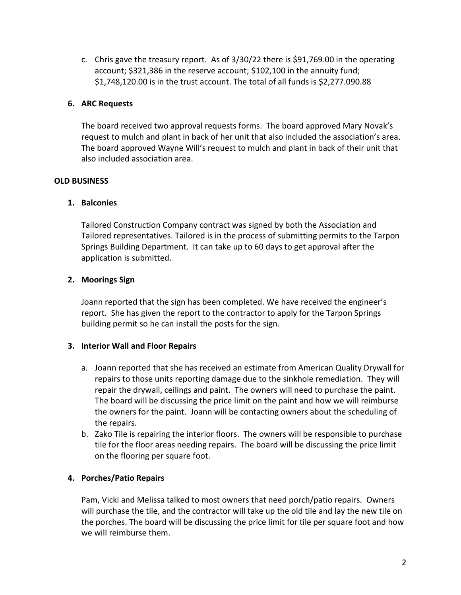c. Chris gave the treasury report. As of 3/30/22 there is \$91,769.00 in the operating account; \$321,386 in the reserve account; \$102,100 in the annuity fund; \$1,748,120.00 is in the trust account. The total of all funds is \$2,277.090.88

## **6. ARC Requests**

The board received two approval requests forms. The board approved Mary Novak's request to mulch and plant in back of her unit that also included the association's area. The board approved Wayne Will's request to mulch and plant in back of their unit that also included association area.

## **OLD BUSINESS**

## **1. Balconies**

Tailored Construction Company contract was signed by both the Association and Tailored representatives. Tailored is in the process of submitting permits to the Tarpon Springs Building Department. It can take up to 60 days to get approval after the application is submitted.

## **2. Moorings Sign**

Joann reported that the sign has been completed. We have received the engineer's report. She has given the report to the contractor to apply for the Tarpon Springs building permit so he can install the posts for the sign.

## **3. Interior Wall and Floor Repairs**

- a. Joann reported that she has received an estimate from American Quality Drywall for repairs to those units reporting damage due to the sinkhole remediation. They will repair the drywall, ceilings and paint. The owners will need to purchase the paint. The board will be discussing the price limit on the paint and how we will reimburse the owners for the paint. Joann will be contacting owners about the scheduling of the repairs.
- b. Zako Tile is repairing the interior floors. The owners will be responsible to purchase tile for the floor areas needing repairs. The board will be discussing the price limit on the flooring per square foot.

## **4. Porches/Patio Repairs**

Pam, Vicki and Melissa talked to most owners that need porch/patio repairs. Owners will purchase the tile, and the contractor will take up the old tile and lay the new tile on the porches. The board will be discussing the price limit for tile per square foot and how we will reimburse them.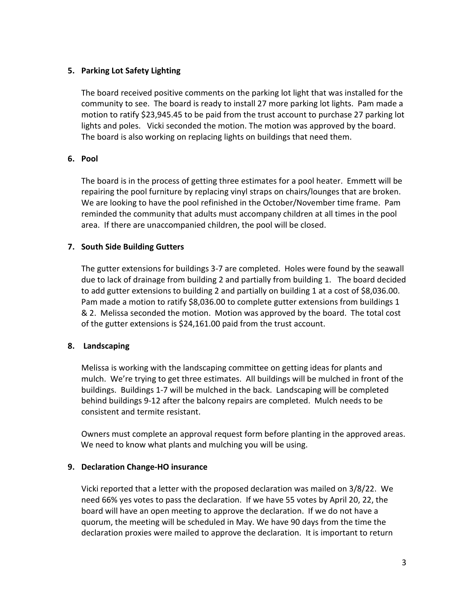## **5. Parking Lot Safety Lighting**

The board received positive comments on the parking lot light that was installed for the community to see. The board is ready to install 27 more parking lot lights. Pam made a motion to ratify \$23,945.45 to be paid from the trust account to purchase 27 parking lot lights and poles. Vicki seconded the motion. The motion was approved by the board. The board is also working on replacing lights on buildings that need them.

## **6. Pool**

The board is in the process of getting three estimates for a pool heater. Emmett will be repairing the pool furniture by replacing vinyl straps on chairs/lounges that are broken. We are looking to have the pool refinished in the October/November time frame. Pam reminded the community that adults must accompany children at all times in the pool area. If there are unaccompanied children, the pool will be closed.

## **7. South Side Building Gutters**

The gutter extensions for buildings 3-7 are completed. Holes were found by the seawall due to lack of drainage from building 2 and partially from building 1. The board decided to add gutter extensions to building 2 and partially on building 1 at a cost of \$8,036.00. Pam made a motion to ratify \$8,036.00 to complete gutter extensions from buildings 1 & 2. Melissa seconded the motion. Motion was approved by the board. The total cost of the gutter extensions is \$24,161.00 paid from the trust account.

## **8. Landscaping**

Melissa is working with the landscaping committee on getting ideas for plants and mulch. We're trying to get three estimates. All buildings will be mulched in front of the buildings. Buildings 1-7 will be mulched in the back. Landscaping will be completed behind buildings 9-12 after the balcony repairs are completed. Mulch needs to be consistent and termite resistant.

Owners must complete an approval request form before planting in the approved areas. We need to know what plants and mulching you will be using.

## **9. Declaration Change-HO insurance**

Vicki reported that a letter with the proposed declaration was mailed on 3/8/22. We need 66% yes votes to pass the declaration. If we have 55 votes by April 20, 22, the board will have an open meeting to approve the declaration. If we do not have a quorum, the meeting will be scheduled in May. We have 90 days from the time the declaration proxies were mailed to approve the declaration. It is important to return